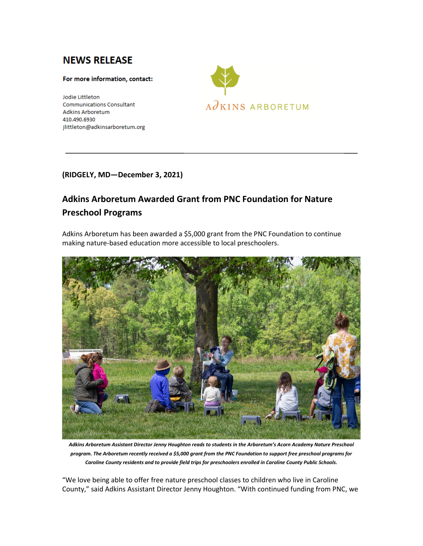# **NEWS RELEASE**

### For more information, contact:

Jodie Littleton **Communications Consultant Adkins Arboretum** 410.490.6930 jlittleton@adkinsarboretum.org



### **(RIDGELY, MD—December 3, 2021)**

## **Adkins Arboretum Awarded Grant from PNC Foundation for Nature Preschool Programs**

Adkins Arboretum has been awarded a \$5,000 grant from the PNC Foundation to continue making nature-based education more accessible to local preschoolers.



*Adkins Arboretum Assistant Director Jenny Houghton reads to students in the Arboretum's Acorn Academy Nature Preschool program. The Arboretum recently received a \$5,000 grant from the PNC Foundation to support free preschool programs for Caroline County residents and to provide field trips for preschoolers enrolled in Caroline County Public Schools.*

"We love being able to offer free nature preschool classes to children who live in Caroline County," said Adkins Assistant Director Jenny Houghton. "With continued funding from PNC, we